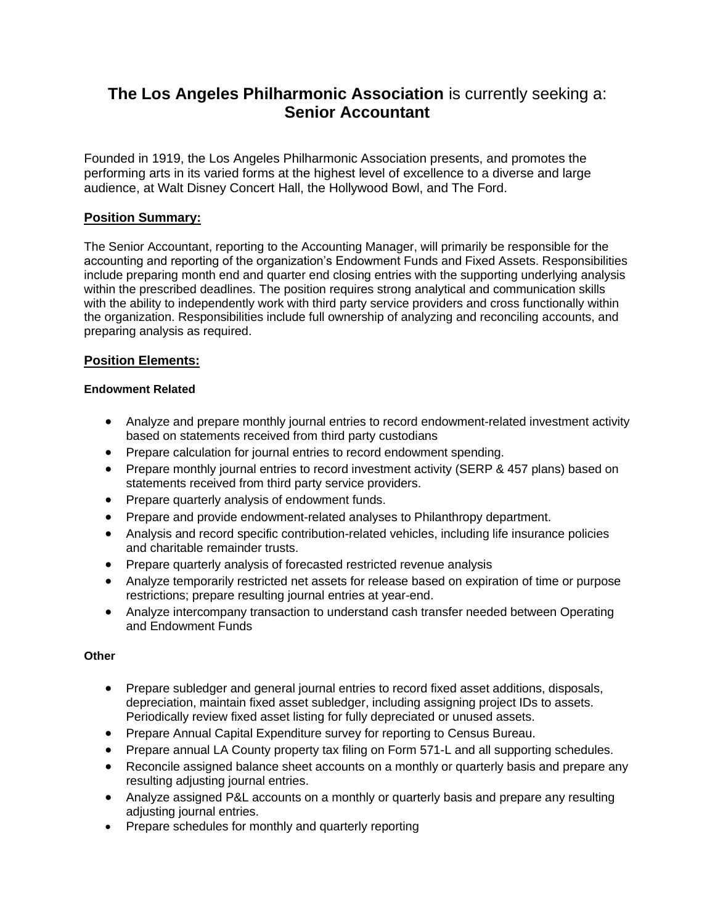# **The Los Angeles Philharmonic Association** is currently seeking a: **Senior Accountant**

Founded in 1919, the Los Angeles Philharmonic Association presents, and promotes the performing arts in its varied forms at the highest level of excellence to a diverse and large audience, at Walt Disney Concert Hall, the Hollywood Bowl, and The Ford.

# **Position Summary:**

The Senior Accountant, reporting to the Accounting Manager, will primarily be responsible for the accounting and reporting of the organization's Endowment Funds and Fixed Assets. Responsibilities include preparing month end and quarter end closing entries with the supporting underlying analysis within the prescribed deadlines. The position requires strong analytical and communication skills with the ability to independently work with third party service providers and cross functionally within the organization. Responsibilities include full ownership of analyzing and reconciling accounts, and preparing analysis as required.

# **Position Elements:**

## **Endowment Related**

- Analyze and prepare monthly journal entries to record endowment-related investment activity based on statements received from third party custodians
- Prepare calculation for journal entries to record endowment spending.
- Prepare monthly journal entries to record investment activity (SERP & 457 plans) based on statements received from third party service providers.
- Prepare quarterly analysis of endowment funds.
- Prepare and provide endowment-related analyses to Philanthropy department.
- Analysis and record specific contribution-related vehicles, including life insurance policies and charitable remainder trusts.
- Prepare quarterly analysis of forecasted restricted revenue analysis
- Analyze temporarily restricted net assets for release based on expiration of time or purpose restrictions; prepare resulting journal entries at year-end.
- Analyze intercompany transaction to understand cash transfer needed between Operating and Endowment Funds

#### **Other**

- Prepare subledger and general journal entries to record fixed asset additions, disposals, depreciation, maintain fixed asset subledger, including assigning project IDs to assets. Periodically review fixed asset listing for fully depreciated or unused assets.
- Prepare Annual Capital Expenditure survey for reporting to Census Bureau.
- Prepare annual LA County property tax filing on Form 571-L and all supporting schedules.
- Reconcile assigned balance sheet accounts on a monthly or quarterly basis and prepare any resulting adjusting journal entries.
- Analyze assigned P&L accounts on a monthly or quarterly basis and prepare any resulting adjusting journal entries.
- Prepare schedules for monthly and quarterly reporting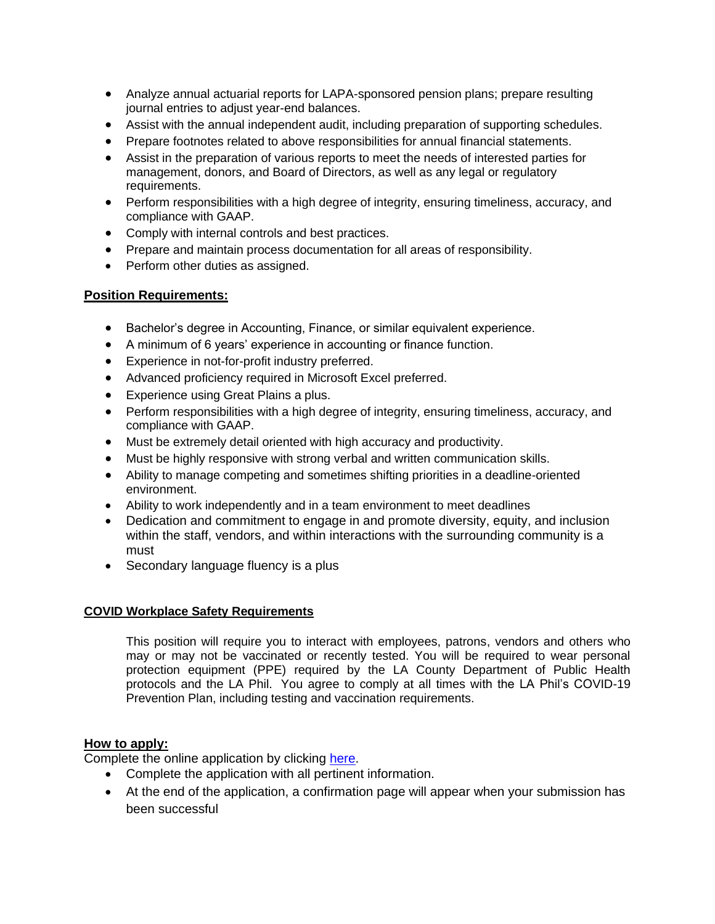- Analyze annual actuarial reports for LAPA-sponsored pension plans; prepare resulting journal entries to adjust year-end balances.
- Assist with the annual independent audit, including preparation of supporting schedules.
- Prepare footnotes related to above responsibilities for annual financial statements.
- Assist in the preparation of various reports to meet the needs of interested parties for management, donors, and Board of Directors, as well as any legal or regulatory requirements.
- Perform responsibilities with a high degree of integrity, ensuring timeliness, accuracy, and compliance with GAAP.
- Comply with internal controls and best practices.
- Prepare and maintain process documentation for all areas of responsibility.
- Perform other duties as assigned.

## **Position Requirements:**

- Bachelor's degree in Accounting, Finance, or similar equivalent experience.
- A minimum of 6 years' experience in accounting or finance function.
- Experience in not-for-profit industry preferred.
- Advanced proficiency required in Microsoft Excel preferred.
- Experience using Great Plains a plus.
- Perform responsibilities with a high degree of integrity, ensuring timeliness, accuracy, and compliance with GAAP.
- Must be extremely detail oriented with high accuracy and productivity.
- Must be highly responsive with strong verbal and written communication skills.
- Ability to manage competing and sometimes shifting priorities in a deadline-oriented environment.
- Ability to work independently and in a team environment to meet deadlines
- Dedication and commitment to engage in and promote diversity, equity, and inclusion within the staff, vendors, and within interactions with the surrounding community is a must
- Secondary language fluency is a plus

#### **COVID Workplace Safety Requirements**

This position will require you to interact with employees, patrons, vendors and others who may or may not be vaccinated or recently tested. You will be required to wear personal protection equipment (PPE) required by the LA County Department of Public Health protocols and the LA Phil. You agree to comply at all times with the LA Phil's COVID-19 Prevention Plan, including testing and vaccination requirements.

#### **How to apply:**

Complete the online application by clicking [here.](https://cta.cadienttalent.com/index.jsp?locale=en_US&APPLICATIONNAME=LosAngelesPhilharmonicAssociationReqExt)

- Complete the application with all pertinent information.
- At the end of the application, a confirmation page will appear when your submission has been successful